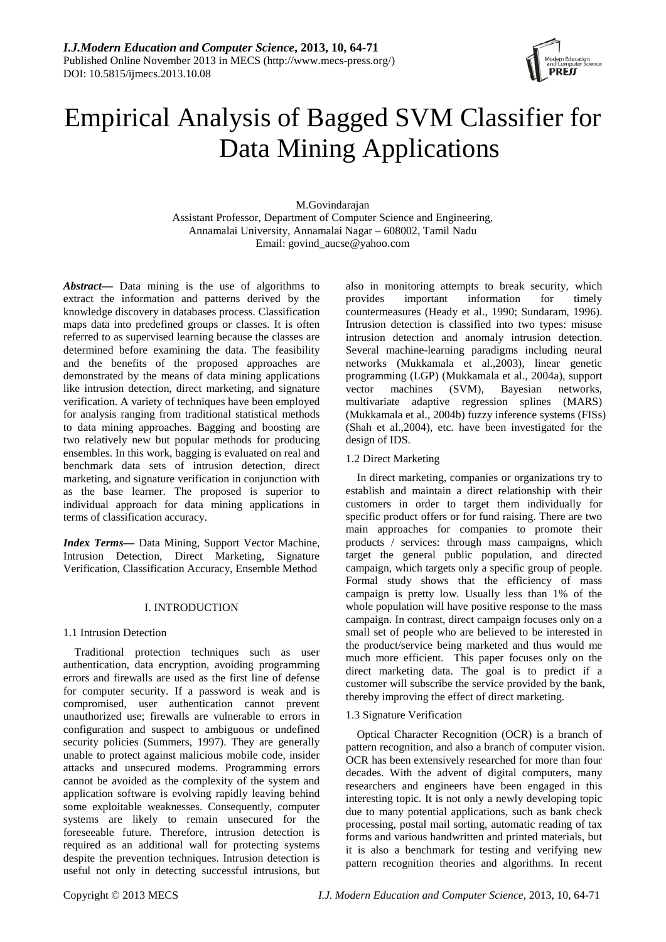

# Empirical Analysis of Bagged SVM Classifier for Data Mining Applications

M.Govindarajan Assistant Professor, Department of Computer Science and Engineering, Annamalai University, Annamalai Nagar – 608002, Tamil Nadu Email: govind\_aucse@yahoo.com

*Abstract***—** Data mining is the use of algorithms to extract the information and patterns derived by the knowledge discovery in databases process. Classification maps data into predefined groups or classes. It is often referred to as supervised learning because the classes are determined before examining the data. The feasibility and the benefits of the proposed approaches are demonstrated by the means of data mining applications like intrusion detection, direct marketing, and signature verification. A variety of techniques have been employed for analysis ranging from traditional statistical methods to data mining approaches. Bagging and boosting are two relatively new but popular methods for producing ensembles. In this work, bagging is evaluated on real and benchmark data sets of intrusion detection, direct marketing, and signature verification in conjunction with as the base learner. The proposed is superior to individual approach for data mining applications in terms of classification accuracy.

*Index Terms***—** Data Mining, Support Vector Machine, Intrusion Detection, Direct Marketing, Signature Verification, Classification Accuracy, Ensemble Method

# I. INTRODUCTION

# 1.1 Intrusion Detection

Traditional protection techniques such as user authentication, data encryption, avoiding programming errors and firewalls are used as the first line of defense for computer security. If a password is weak and is compromised, user authentication cannot prevent unauthorized use; firewalls are vulnerable to errors in configuration and suspect to ambiguous or undefined security policies (Summers, 1997). They are generally unable to protect against malicious mobile code, insider attacks and unsecured modems. Programming errors cannot be avoided as the complexity of the system and application software is evolving rapidly leaving behind some exploitable weaknesses. Consequently, computer systems are likely to remain unsecured for the foreseeable future. Therefore, intrusion detection is required as an additional wall for protecting systems despite the prevention techniques. Intrusion detection is useful not only in detecting successful intrusions, but also in monitoring attempts to break security, which<br>provides important information for timely information for timely countermeasures (Heady et al., 1990; Sundaram, 1996). Intrusion detection is classified into two types: misuse intrusion detection and anomaly intrusion detection. Several machine-learning paradigms including neural networks (Mukkamala et al.,2003), linear genetic programming (LGP) (Mukkamala et al., 2004a), support vector machines (SVM), Bayesian networks, multivariate adaptive regression splines (MARS) (Mukkamala et al., 2004b) fuzzy inference systems (FISs) (Shah et al.,2004), etc. have been investigated for the design of IDS.

# 1.2 Direct Marketing

In direct marketing, companies or organizations try to establish and maintain a direct relationship with their customers in order to target them individually for specific product offers or for fund raising. There are two main approaches for companies to promote their products / services: through mass campaigns, which target the general public population, and directed campaign, which targets only a specific group of people. Formal study shows that the efficiency of mass campaign is pretty low. Usually less than 1% of the whole population will have positive response to the mass campaign. In contrast, direct campaign focuses only on a small set of people who are believed to be interested in the product/service being marketed and thus would me much more efficient. This paper focuses only on the direct marketing data. The goal is to predict if a customer will subscribe the service provided by the bank, thereby improving the effect of direct marketing.

# 1.3 Signature Verification

Optical Character Recognition (OCR) is a branch of pattern recognition, and also a branch of computer vision. OCR has been extensively researched for more than four decades. With the advent of digital computers, many researchers and engineers have been engaged in this interesting topic. It is not only a newly developing topic due to many potential applications, such as bank check processing, postal mail sorting, automatic reading of tax forms and various handwritten and printed materials, but it is also a benchmark for testing and verifying new pattern recognition theories and algorithms. In recent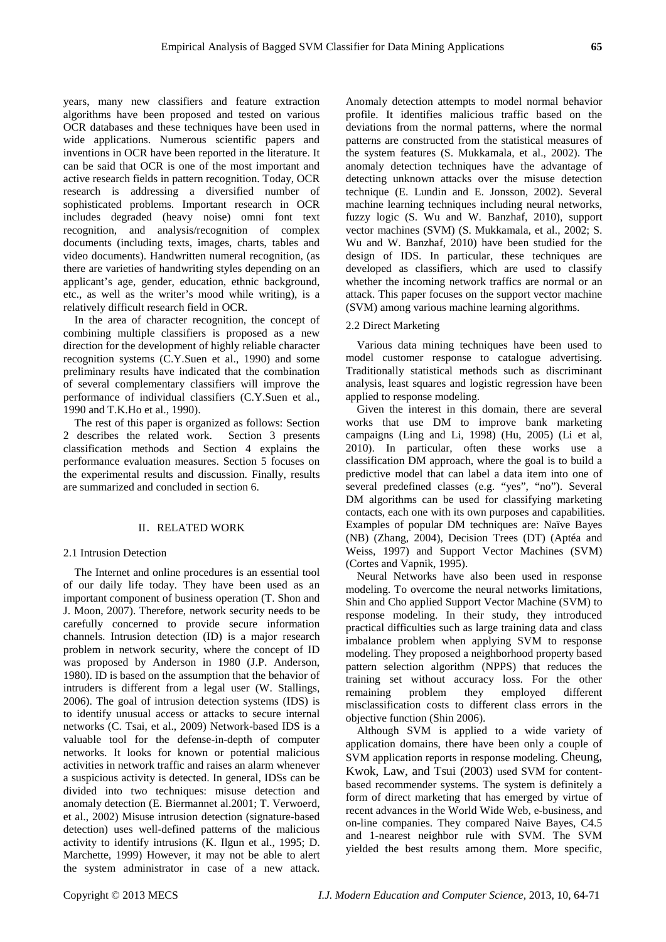years, many new classifiers and feature extraction algorithms have been proposed and tested on various OCR databases and these techniques have been used in wide applications. Numerous scientific papers and inventions in OCR have been reported in the literature. It can be said that OCR is one of the most important and active research fields in pattern recognition. Today, OCR research is addressing a diversified number of sophisticated problems. Important research in OCR includes degraded (heavy noise) omni font text recognition, and analysis/recognition of complex documents (including texts, images, charts, tables and video documents). Handwritten numeral recognition, (as there are varieties of handwriting styles depending on an applicant's age, gender, education, ethnic background, etc., as well as the writer's mood while writing), is a relatively difficult research field in OCR.

In the area of character recognition, the concept of combining multiple classifiers is proposed as a new direction for the development of highly reliable character recognition systems (C.Y.Suen et al., 1990) and some preliminary results have indicated that the combination of several complementary classifiers will improve the performance of individual classifiers (C.Y.Suen et al., 1990 and T.K.Ho et al., 1990).

The rest of this paper is organized as follows: Section 2 describes the related work. Section 3 presents classification methods and Section 4 explains the performance evaluation measures. Section 5 focuses on the experimental results and discussion. Finally, results are summarized and concluded in section 6.

#### **II. RELATED WORK**

#### 2.1 Intrusion Detection

The Internet and online procedures is an essential tool of our daily life today. They have been used as an important component of business operation (T. Shon and J. Moon, 2007). Therefore, network security needs to be carefully concerned to provide secure information channels. Intrusion detection (ID) is a major research problem in network security, where the concept of ID was proposed by Anderson in 1980 (J.P. Anderson, 1980). ID is based on the assumption that the behavior of intruders is different from a legal user (W. Stallings, 2006). The goal of intrusion detection systems (IDS) is to identify unusual access or attacks to secure internal networks (C. Tsai, et al., 2009) Network-based IDS is a valuable tool for the defense-in-depth of computer networks. It looks for known or potential malicious activities in network traffic and raises an alarm whenever a suspicious activity is detected. In general, IDSs can be divided into two techniques: misuse detection and anomaly detection (E. Biermannet al.2001; T. Verwoerd, et al., 2002) Misuse intrusion detection (signature-based detection) uses well-defined patterns of the malicious activity to identify intrusions (K. Ilgun et al., 1995; D. Marchette, 1999) However, it may not be able to alert the system administrator in case of a new attack.

Anomaly detection attempts to model normal behavior profile. It identifies malicious traffic based on the deviations from the normal patterns, where the normal patterns are constructed from the statistical measures of the system features (S. Mukkamala, et al., 2002). The anomaly detection techniques have the advantage of detecting unknown attacks over the misuse detection technique (E. Lundin and E. Jonsson, 2002). Several machine learning techniques including neural networks, fuzzy logic (S. Wu and W. Banzhaf, 2010), support vector machines (SVM) (S. Mukkamala, et al., 2002; S. Wu and W. Banzhaf, 2010) have been studied for the design of IDS. In particular, these techniques are developed as classifiers, which are used to classify whether the incoming network traffics are normal or an attack. This paper focuses on the support vector machine (SVM) among various machine learning algorithms.

# 2.2 Direct Marketing

Various data mining techniques have been used to model customer response to catalogue advertising. Traditionally statistical methods such as discriminant analysis, least squares and logistic regression have been applied to response modeling.

Given the interest in this domain, there are several works that use DM to improve bank marketing campaigns (Ling and Li, 1998) (Hu, 2005) (Li et al, 2010). In particular, often these works use a classification DM approach, where the goal is to build a predictive model that can label a data item into one of several predefined classes (e.g. "yes", "no"). Several DM algorithms can be used for classifying marketing contacts, each one with its own purposes and capabilities. Examples of popular DM techniques are: Naïve Bayes (NB) (Zhang, 2004), Decision Trees (DT) (Aptéa and Weiss, 1997) and Support Vector Machines (SVM) (Cortes and Vapnik, 1995).

Neural Networks have also been used in response modeling. To overcome the neural networks limitations, Shin and Cho applied Support Vector Machine (SVM) to response modeling. In their study, they introduced practical difficulties such as large training data and class imbalance problem when applying SVM to response modeling. They proposed a neighborhood property based pattern selection algorithm (NPPS) that reduces the training set without accuracy loss. For the other remaining problem they employed different misclassification costs to different class errors in the objective function (Shin 2006).

Although SVM is applied to a wide variety of application domains, there have been only a couple of SVM application reports in response modeling. Cheung, Kwok, Law, and Tsui (2003) used SVM for contentbased recommender systems. The system is definitely a form of direct marketing that has emerged by virtue of recent advances in the World Wide Web, e-business, and on-line companies. They compared Naive Bayes, C4.5 and 1-nearest neighbor rule with SVM. The SVM yielded the best results among them. More specific,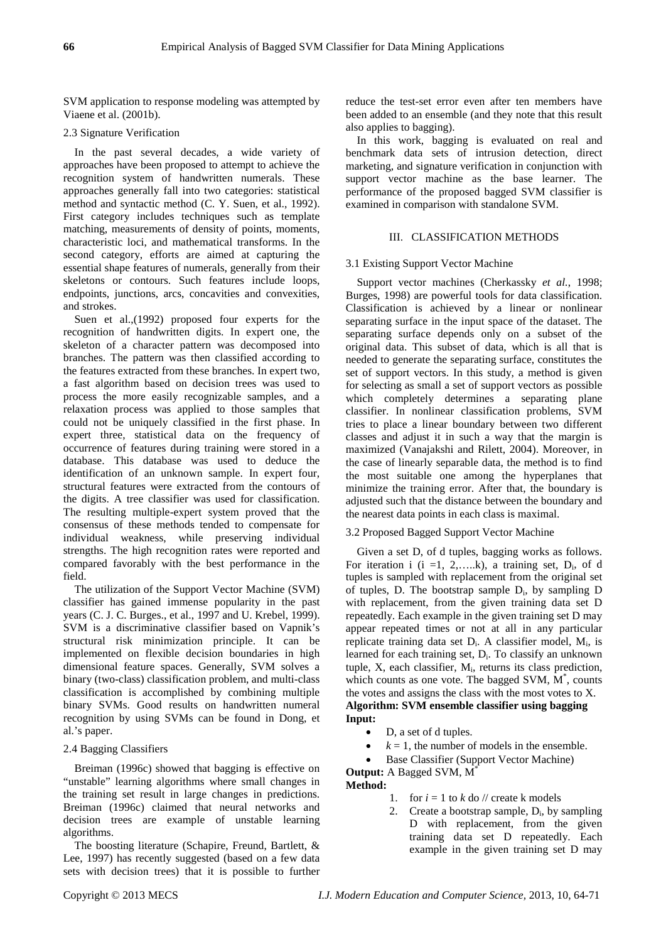SVM application to response modeling was attempted by Viaene et al. (2001b).

## 2.3 Signature Verification

In the past several decades, a wide variety of approaches have been proposed to attempt to achieve the recognition system of handwritten numerals. These approaches generally fall into two categories: statistical method and syntactic method (C. Y. Suen, et al., 1992). First category includes techniques such as template matching, measurements of density of points, moments, characteristic loci, and mathematical transforms. In the second category, efforts are aimed at capturing the essential shape features of numerals, generally from their skeletons or contours. Such features include loops, endpoints, junctions, arcs, concavities and convexities, and strokes.

Suen et al.,(1992) proposed four experts for the recognition of handwritten digits. In expert one, the skeleton of a character pattern was decomposed into branches. The pattern was then classified according to the features extracted from these branches. In expert two, a fast algorithm based on decision trees was used to process the more easily recognizable samples, and a relaxation process was applied to those samples that could not be uniquely classified in the first phase. In expert three, statistical data on the frequency of occurrence of features during training were stored in a database. This database was used to deduce the identification of an unknown sample. In expert four, structural features were extracted from the contours of the digits. A tree classifier was used for classification. The resulting multiple-expert system proved that the consensus of these methods tended to compensate for individual weakness, while preserving individual strengths. The high recognition rates were reported and compared favorably with the best performance in the field.

The utilization of the Support Vector Machine (SVM) classifier has gained immense popularity in the past years (C. J. C. Burges., et al., 1997 and U. Krebel, 1999). SVM is a discriminative classifier based on Vapnik's structural risk minimization principle. It can be implemented on flexible decision boundaries in high dimensional feature spaces. Generally, SVM solves a binary (two-class) classification problem, and multi-class classification is accomplished by combining multiple binary SVMs. Good results on handwritten numeral recognition by using SVMs can be found in Dong, et al.'s paper.

#### 2.4 Bagging Classifiers

Breiman (1996c) showed that bagging is effective on "unstable" learning algorithms where small changes in the training set result in large changes in predictions. Breiman (1996c) claimed that neural networks and decision trees are example of unstable learning algorithms.

The boosting literature (Schapire, Freund, Bartlett, & Lee, 1997) has recently suggested (based on a few data sets with decision trees) that it is possible to further reduce the test-set error even after ten members have been added to an ensemble (and they note that this result also applies to bagging).

In this work, bagging is evaluated on real and benchmark data sets of intrusion detection, direct marketing, and signature verification in conjunction with support vector machine as the base learner. The performance of the proposed bagged SVM classifier is examined in comparison with standalone SVM.

# III. CLASSIFICATION METHODS

# 3.1 Existing Support Vector Machine

Support vector machines (Cherkassky *et al.*, 1998; Burges, 1998) are powerful tools for data classification. Classification is achieved by a linear or nonlinear separating surface in the input space of the dataset. The separating surface depends only on a subset of the original data. This subset of data, which is all that is needed to generate the separating surface, constitutes the set of support vectors. In this study, a method is given for selecting as small a set of support vectors as possible which completely determines a separating plane classifier. In nonlinear classification problems, SVM tries to place a linear boundary between two different classes and adjust it in such a way that the margin is maximized (Vanajakshi and Rilett, 2004). Moreover, in the case of linearly separable data, the method is to find the most suitable one among the hyperplanes that minimize the training error. After that, the boundary is adjusted such that the distance between the boundary and the nearest data points in each class is maximal.

### 3.2 Proposed Bagged Support Vector Machine

Given a set D, of d tuples, bagging works as follows. For iteration i  $(i = 1, 2, \ldots, k)$ , a training set,  $D_i$ , of d tuples is sampled with replacement from the original set of tuples, D. The bootstrap sample  $D_i$ , by sampling D with replacement, from the given training data set D repeatedly. Each example in the given training set D may appear repeated times or not at all in any particular replicate training data set  $D_i$ . A classifier model,  $M_i$ , is learned for each training set, D<sub>i</sub>. To classify an unknown tuple,  $X$ , each classifier,  $M<sub>i</sub>$ , returns its class prediction, which counts as one vote. The bagged SVM,  $M^*$ , counts the votes and assigns the class with the most votes to X. **Algorithm: SVM ensemble classifier using bagging Input:**

- D, a set of d tuples.
- $k = 1$ , the number of models in the ensemble.
- Base Classifier (Support Vector Machine)

**Output:** A Bagged SVM, M\* **Method:**

- 1. for  $i = 1$  to  $k$  do  $\ell$  create k models
- 2. Create a bootstrap sample,  $D_i$ , by sampling D with replacement, from the given training data set D repeatedly. Each example in the given training set D may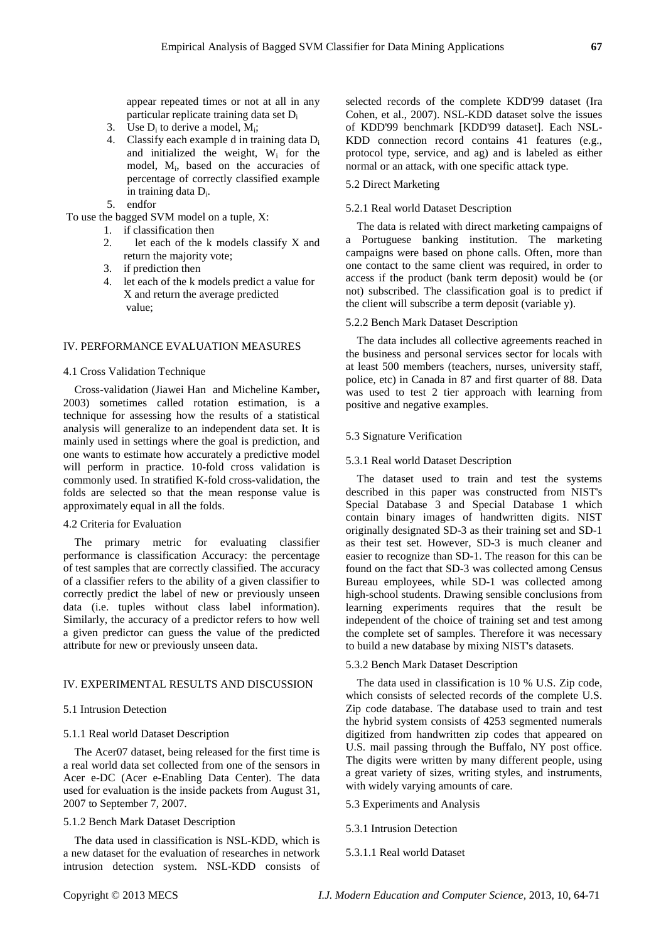appear repeated times or not at all in any particular replicate training data set Di

- 3. Use  $D_i$  to derive a model,  $M_i$ ;
- 4. Classify each example d in training data Di and initialized the weight, Wi for the model, M<sub>i</sub>, based on the accuracies of percentage of correctly classified example in training data  $D_i$ .
- 5. endfor

To use the bagged SVM model on a tuple, X:

- 1. if classification then
- 2. let each of the k models classify X and return the majority vote;
- 3. if prediction then
- 4. let each of the k models predict a value for X and return the average predicted value;

#### IV. PERFORMANCE EVALUATION MEASURES

# 4.1 Cross Validation Technique

Cross-validation (Jiawei Han and Micheline Kamber**,**  2003) sometimes called rotation estimation, is a technique for assessing how the results of a statistical analysis will generalize to an independent data set. It is mainly used in settings where the goal is prediction, and one wants to estimate how accurately a predictive model will perform in practice. 10-fold cross validation is commonly used. In stratified K-fold cross-validation, the folds are selected so that the mean response value is approximately equal in all the folds.

## 4.2 Criteria for Evaluation

The primary metric for evaluating classifier performance is classification Accuracy: the percentage of test samples that are correctly classified. The accuracy of a classifier refers to the ability of a given classifier to correctly predict the label of new or previously unseen data (i.e. tuples without class label information). Similarly, the accuracy of a predictor refers to how well a given predictor can guess the value of the predicted attribute for new or previously unseen data.

# IV. EXPERIMENTAL RESULTS AND DISCUSSION

#### 5.1 Intrusion Detection

## 5.1.1 Real world Dataset Description

The Acer07 dataset, being released for the first time is a real world data set collected from one of the sensors in Acer e-DC (Acer e-Enabling Data Center). The data used for evaluation is the inside packets from August 31, 2007 to September 7, 2007.

#### 5.1.2 Bench Mark Dataset Description

The data used in classification is NSL-KDD, which is a new dataset for the evaluation of researches in network intrusion detection system. NSL-KDD consists of

selected records of the complete KDD'99 dataset (Ira Cohen, et al., 2007). NSL-KDD dataset solve the issues of KDD'99 benchmark [KDD'99 dataset]. Each NSL-KDD connection record contains 41 features (e.g., protocol type, service, and ag) and is labeled as either normal or an attack, with one specific attack type.

#### 5.2 Direct Marketing

## 5.2.1 Real world Dataset Description

The data is related with direct marketing campaigns of a Portuguese banking institution. The marketing campaigns were based on phone calls. Often, more than one contact to the same client was required, in order to access if the product (bank term deposit) would be (or not) subscribed. The classification goal is to predict if the client will subscribe a term deposit (variable y).

# 5.2.2 Bench Mark Dataset Description

The data includes all collective agreements reached in the business and personal services sector for locals with at least 500 members (teachers, nurses, university staff, police, etc) in Canada in 87 and first quarter of 88. Data was used to test 2 tier approach with learning from positive and negative examples.

# 5.3 Signature Verification

#### 5.3.1 Real world Dataset Description

The dataset used to train and test the systems described in this paper was constructed from NIST's Special Database 3 and Special Database 1 which contain binary images of handwritten digits. NIST originally designated SD-3 as their training set and SD-1 as their test set. However, SD-3 is much cleaner and easier to recognize than SD-1. The reason for this can be found on the fact that SD-3 was collected among Census Bureau employees, while SD-1 was collected among high-school students. Drawing sensible conclusions from learning experiments requires that the result be independent of the choice of training set and test among the complete set of samples. Therefore it was necessary to build a new database by mixing NIST's datasets.

#### 5.3.2 Bench Mark Dataset Description

The data used in classification is 10 % U.S. Zip code, which consists of selected records of the complete U.S. Zip code database. The database used to train and test the hybrid system consists of 4253 segmented numerals digitized from handwritten zip codes that appeared on U.S. mail passing through the Buffalo, NY post office. The digits were written by many different people, using a great variety of sizes, writing styles, and instruments, with widely varying amounts of care.

5.3 Experiments and Analysis

# 5.3.1 Intrusion Detection

## 5.3.1.1 Real world Dataset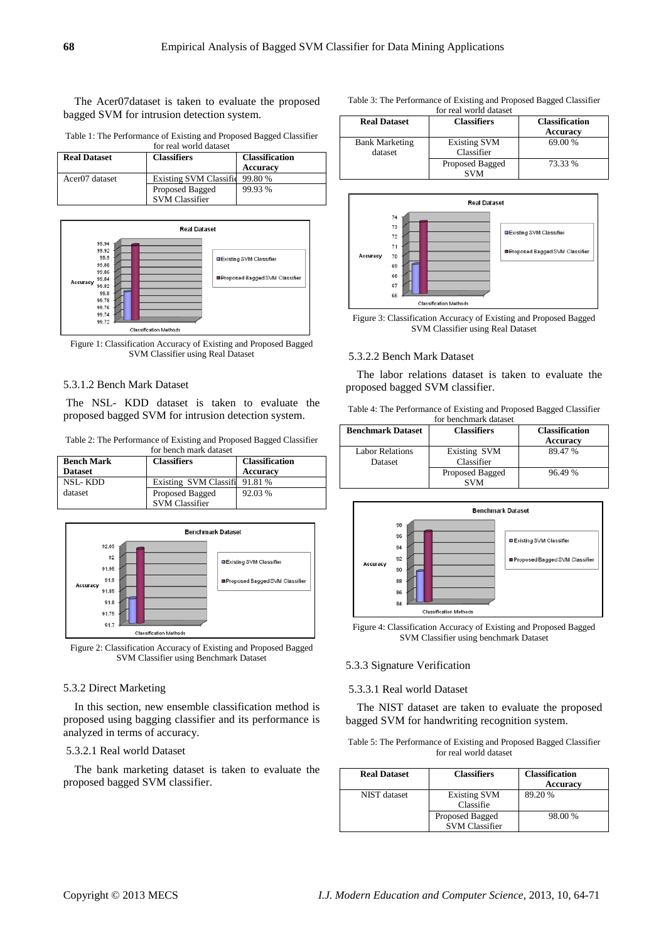The Acer07dataset is taken to evaluate the proposed bagged SVM for intrusion detection system.

Table 1: The Performance of Existing and Proposed Bagged Classifier for real world dataset

| <b>Real Dataset</b>        | <b>Classifiers</b>            | <b>Classification</b> |
|----------------------------|-------------------------------|-----------------------|
|                            |                               | <b>Accuracy</b>       |
| Acer <sub>07</sub> dataset | <b>Existing SVM Classific</b> | 99.80 %               |
|                            | Proposed Bagged               | 99.93 %               |
|                            | <b>SVM Classifier</b>         |                       |



Figure 1: Classification Accuracy of Existing and Proposed Bagged SVM Classifier using Real Dataset

## 5.3.1.2 Bench Mark Dataset

The NSL- KDD dataset is taken to evaluate the proposed bagged SVM for intrusion detection system.

Table 2: The Performance of Existing and Proposed Bagged Classifier for bench mark dataset

| <b>Bench Mark</b><br><b>Dataset</b> | <b>Classifiers</b>            | <b>Classification</b><br><b>Accuracy</b> |
|-------------------------------------|-------------------------------|------------------------------------------|
| <b>NSL-KDD</b>                      | Existing SVM Classifi 91.81 % |                                          |
| dataset                             | Proposed Bagged               | 92.03 %                                  |
|                                     | <b>SVM Classifier</b>         |                                          |



Figure 2: Classification Accuracy of Existing and Proposed Bagged SVM Classifier using Benchmark Dataset

#### 5.3.2 Direct Marketing

In this section, new ensemble classification method is proposed using bagging classifier and its performance is analyzed in terms of accuracy.

# 5.3.2.1 Real world Dataset

The bank marketing dataset is taken to evaluate the proposed bagged SVM classifier.

| Table 3: The Performance of Existing and Proposed Bagged Classifier |
|---------------------------------------------------------------------|
| for real world dataset                                              |

| <b>Real Dataset</b>              | <b>Classifiers</b>                | <b>Classification</b><br>Accuracy |
|----------------------------------|-----------------------------------|-----------------------------------|
| <b>Bank Marketing</b><br>dataset | <b>Existing SVM</b><br>Classifier | 69.00 %                           |
|                                  | Proposed Bagged<br><b>SVM</b>     | 73.33 %                           |



Figure 3: Classification Accuracy of Existing and Proposed Bagged SVM Classifier using Real Dataset

#### 5.3.2.2 Bench Mark Dataset

The labor relations dataset is taken to evaluate the proposed bagged SVM classifier.

Table 4: The Performance of Existing and Proposed Bagged Classifier for benchmark dataset

| <b>Benchmark Dataset</b> | <b>Classifiers</b> | <b>Classification</b> |
|--------------------------|--------------------|-----------------------|
|                          |                    | Accuracy              |
| Labor Relations          | Existing SVM       | 89.47 %               |
| Dataset                  | Classifier         |                       |
|                          | Proposed Bagged    | 96.49 %               |
|                          | <b>SVM</b>         |                       |



Figure 4: Classification Accuracy of Existing and Proposed Bagged SVM Classifier using benchmark Dataset

# 5.3.3 Signature Verification

# 5.3.3.1 Real world Dataset

The NIST dataset are taken to evaluate the proposed bagged SVM for handwriting recognition system.

| Table 5: The Performance of Existing and Proposed Bagged Classifier |
|---------------------------------------------------------------------|
| for real world dataset                                              |

| <b>Real Dataset</b> | <b>Classifiers</b>                       | <b>Classification</b><br><b>Accuracy</b> |
|---------------------|------------------------------------------|------------------------------------------|
| NIST dataset        | <b>Existing SVM</b><br>Classifie         | 89.20 %                                  |
|                     | Proposed Bagged<br><b>SVM Classifier</b> | 98.00 %                                  |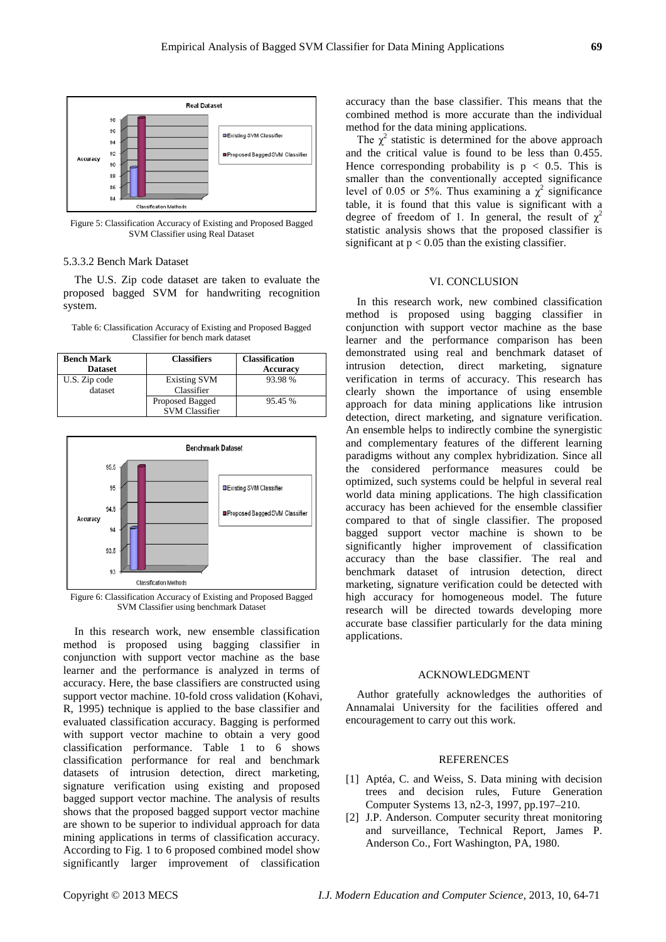

Figure 5: Classification Accuracy of Existing and Proposed Bagged SVM Classifier using Real Dataset

## 5.3.3.2 Bench Mark Dataset

The U.S. Zip code dataset are taken to evaluate the proposed bagged SVM for handwriting recognition system.

| Table 6: Classification Accuracy of Existing and Proposed Bagged |
|------------------------------------------------------------------|
| Classifier for bench mark dataset                                |

| <b>Bench Mark</b> | <b>Classifiers</b>    | <b>Classification</b> |
|-------------------|-----------------------|-----------------------|
| <b>Dataset</b>    |                       | Accuracy              |
| U.S. Zip code     | <b>Existing SVM</b>   | 93.98 %               |
| dataset           | Classifier            |                       |
|                   | Proposed Bagged       | 95.45 %               |
|                   | <b>SVM Classifier</b> |                       |



Figure 6: Classification Accuracy of Existing and Proposed Bagged SVM Classifier using benchmark Dataset

In this research work, new ensemble classification method is proposed using bagging classifier in conjunction with support vector machine as the base learner and the performance is analyzed in terms of accuracy. Here, the base classifiers are constructed using support vector machine. 10-fold cross validation (Kohavi, R, 1995) technique is applied to the base classifier and evaluated classification accuracy. Bagging is performed with support vector machine to obtain a very good classification performance. Table 1 to 6 shows classification performance for real and benchmark datasets of intrusion detection, direct marketing, signature verification using existing and proposed bagged support vector machine. The analysis of results shows that the proposed bagged support vector machine are shown to be superior to individual approach for data mining applications in terms of classification accuracy. According to Fig. 1 to 6 proposed combined model show significantly larger improvement of classification

accuracy than the base classifier. This means that the combined method is more accurate than the individual method for the data mining applications.

The  $\chi^2$  statistic is determined for the above approach and the critical value is found to be less than 0.455. Hence corresponding probability is  $p < 0.5$ . This is smaller than the conventionally accepted significance level of 0.05 or 5%. Thus examining a  $\chi^2$  significance table, it is found that this value is significant with a degree of freedom of 1. In general, the result of  $\chi^2$ statistic analysis shows that the proposed classifier is significant at  $p < 0.05$  than the existing classifier.

#### VI. CONCLUSION

In this research work, new combined classification method is proposed using bagging classifier in conjunction with support vector machine as the base learner and the performance comparison has been demonstrated using real and benchmark dataset of intrusion detection, direct marketing, signature verification in terms of accuracy. This research has clearly shown the importance of using ensemble approach for data mining applications like intrusion detection, direct marketing, and signature verification. An ensemble helps to indirectly combine the synergistic and complementary features of the different learning paradigms without any complex hybridization. Since all the considered performance measures could be optimized, such systems could be helpful in several real world data mining applications. The high classification accuracy has been achieved for the ensemble classifier compared to that of single classifier. The proposed bagged support vector machine is shown to be significantly higher improvement of classification accuracy than the base classifier. The real and benchmark dataset of intrusion detection, direct marketing, signature verification could be detected with high accuracy for homogeneous model. The future research will be directed towards developing more accurate base classifier particularly for the data mining applications.

#### ACKNOWLEDGMENT

Author gratefully acknowledges the authorities of Annamalai University for the facilities offered and encouragement to carry out this work.

#### REFERENCES

- [1] Aptéa, C. and Weiss, S. Data mining with decision trees and decision rules, Future Generation Computer Systems 13, n2-3, 1997, pp.197–210.
- [2] J.P. Anderson. Computer security threat monitoring and surveillance, Technical Report, James P. Anderson Co., Fort Washington, PA, 1980.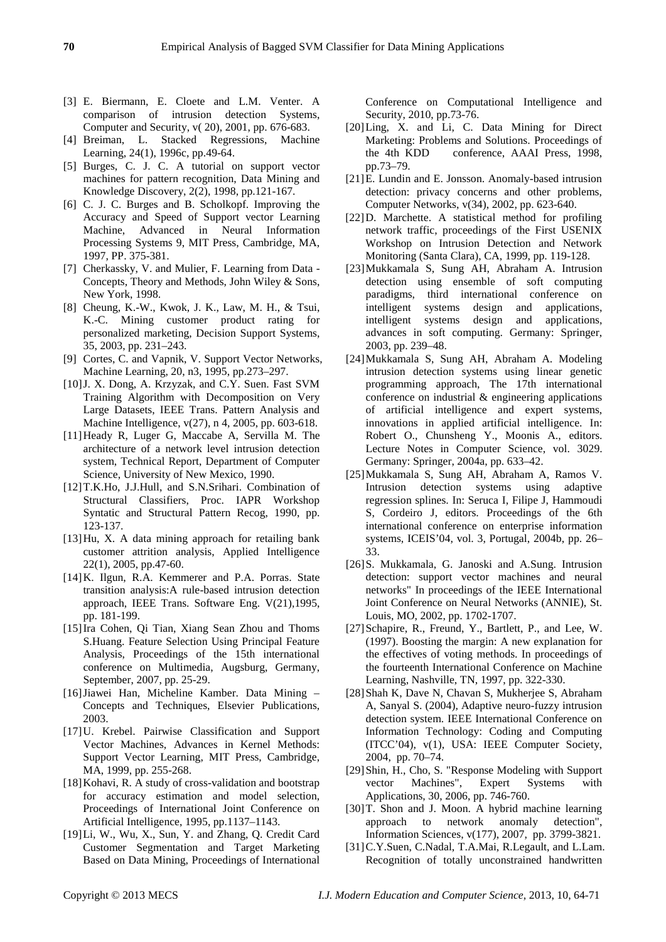- [3] E. Biermann, E. Cloete and L.M. Venter. A comparison of intrusion detection Systems, Computer and Security, v( 20), 2001, pp. 676-683.
- [4] Breiman, L. Stacked Regressions, Machine Learning, 24(1), 1996c, pp.49-64.
- [5] Burges, C. J. C. A tutorial on support vector machines for pattern recognition, Data Mining and Knowledge Discovery, 2(2), 1998, pp.121-167.
- [6] C. J. C. Burges and B. Scholkopf. Improving the Accuracy and Speed of Support vector Learning Machine, Advanced in Neural Information Processing Systems 9, MIT Press, Cambridge, MA, 1997, PP. 375-381.
- [7] Cherkassky, V. and Mulier, F. Learning from Data Concepts, Theory and Methods, John Wiley & Sons, New York, 1998.
- [8] Cheung, K.-W., Kwok, J. K., Law, M. H., & Tsui, K.-C. Mining customer product rating for personalized marketing, Decision Support Systems, 35, 2003, pp. 231–243.
- [9] Cortes, C. and Vapnik, V. Support Vector Networks, Machine Learning, 20, n3, 1995, pp.273–297.
- [10]J. X. Dong, A. Krzyzak, and C.Y. Suen. Fast SVM Training Algorithm with Decomposition on Very Large Datasets, IEEE Trans. Pattern Analysis and Machine Intelligence, v(27), n 4, 2005, pp. 603-618.
- [11]Heady R, Luger G, Maccabe A, Servilla M. The architecture of a network level intrusion detection system, Technical Report, Department of Computer Science, University of New Mexico, 1990.
- [12]T.K.Ho, J.J.Hull, and S.N.Srihari. Combination of Structural Classifiers, Proc. IAPR Workshop Syntatic and Structural Pattern Recog, 1990, pp. 123-137.
- [13]Hu, X. A data mining approach for retailing bank customer attrition analysis, Applied Intelligence 22(1), 2005, pp.47-60.
- [14]K. Ilgun, R.A. Kemmerer and P.A. Porras. State transition analysis:A rule-based intrusion detection approach, IEEE Trans. Software Eng. V(21),1995, pp. 181-199.
- [15]Ira Cohen, Qi Tian, Xiang Sean Zhou and Thoms S.Huang. Feature Selection Using Principal Feature Analysis, Proceedings of the 15th international conference on Multimedia, Augsburg, Germany, September, 2007, pp. 25-29.
- [16]Jiawei Han, Micheline Kamber. Data Mining Concepts and Techniques, Elsevier Publications, 2003.
- [17]U. Krebel. Pairwise Classification and Support Vector Machines, Advances in Kernel Methods: Support Vector Learning, MIT Press, Cambridge, MA, 1999, pp. 255-268.
- [18] Kohavi, R. A study of cross-validation and bootstrap for accuracy estimation and model selection, Proceedings of International Joint Conference on Artificial Intelligence, 1995, pp.1137–1143.
- [19]Li, W., Wu, X., Sun, Y. and Zhang, Q. Credit Card Customer Segmentation and Target Marketing Based on Data Mining, Proceedings of International

Conference on Computational Intelligence and Security, 2010, pp.73-76.

- [20]Ling, X. and Li, C. Data Mining for Direct Marketing: Problems and Solutions. Proceedings of the 4th KDD conference, AAAI Press, 1998, pp.73–79.
- [21]E. Lundin and E. Jonsson. Anomaly-based intrusion detection: privacy concerns and other problems, Computer Networks, v(34), 2002, pp. 623-640.
- [22]D. Marchette. A statistical method for profiling network traffic, proceedings of the First USENIX Workshop on Intrusion Detection and Network Monitoring (Santa Clara), CA, 1999, pp. 119-128.
- [23]Mukkamala S, Sung AH, Abraham A. Intrusion detection using ensemble of soft computing paradigms, third international conference on intelligent systems design and applications, intelligent systems design and applications, advances in soft computing. Germany: Springer, 2003, pp. 239–48.
- [24]Mukkamala S, Sung AH, Abraham A. Modeling intrusion detection systems using linear genetic programming approach, The 17th international conference on industrial  $\&$  engineering applications of artificial intelligence and expert systems, innovations in applied artificial intelligence. In: Robert O., Chunsheng Y., Moonis A., editors. Lecture Notes in Computer Science, vol. 3029. Germany: Springer, 2004a, pp. 633–42.
- [25]Mukkamala S, Sung AH, Abraham A, Ramos V. Intrusion detection systems using adaptive regression splines. In: Seruca I, Filipe J, Hammoudi S, Cordeiro J, editors. Proceedings of the 6th international conference on enterprise information systems, ICEIS'04, vol. 3, Portugal, 2004b, pp. 26– 33.
- [26]S. Mukkamala, G. Janoski and A.Sung. Intrusion detection: support vector machines and neural networks" In proceedings of the IEEE International Joint Conference on Neural Networks (ANNIE), St. Louis, MO, 2002, pp. 1702-1707.
- [27]Schapire, R., Freund, Y., Bartlett, P., and Lee, W. (1997). Boosting the margin: A new explanation for the effectives of voting methods. In proceedings of the fourteenth International Conference on Machine Learning, Nashville, TN, 1997, pp. 322-330.
- [28]Shah K, Dave N, Chavan S, Mukherjee S, Abraham A, Sanyal S. (2004), Adaptive neuro-fuzzy intrusion detection system. IEEE International Conference on Information Technology: Coding and Computing (ITCC'04), v(1), USA: IEEE Computer Society, 2004, pp. 70–74.
- [29]Shin, H., Cho, S. "Response Modeling with Support vector Machines", Expert Systems with Applications, 30, 2006, pp. 746-760.
- [30]T. Shon and J. Moon. A hybrid machine learning approach to network anomaly detection", Information Sciences, v(177), 2007, pp. 3799-3821.
- [31]C.Y.Suen, C.Nadal, T.A.Mai, R.Legault, and L.Lam. Recognition of totally unconstrained handwritten